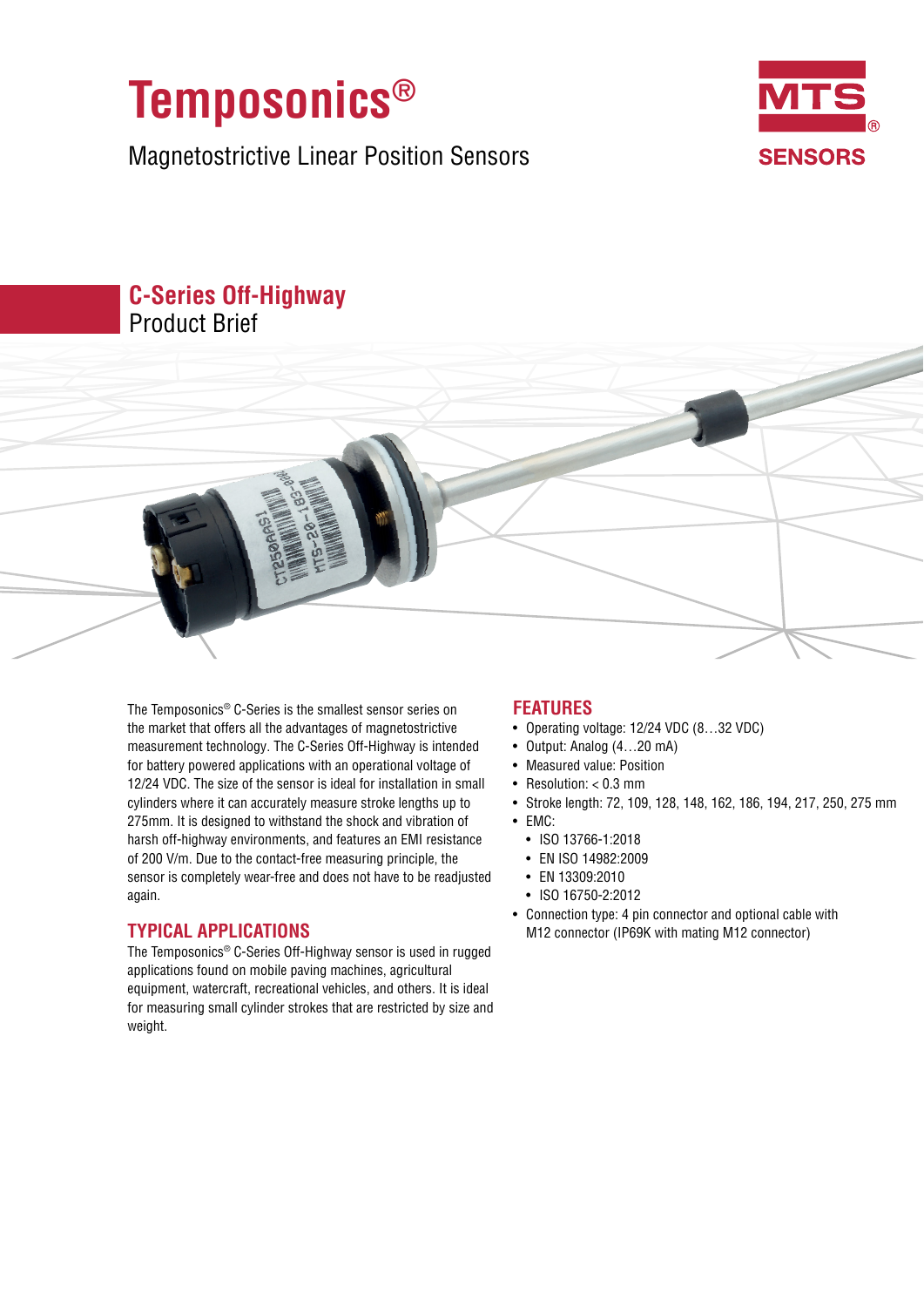

Magnetostrictive Linear Position Sensors



# **C-Series Off-Highway** Product Brief

The Temposonics® C-Series is the smallest sensor series on the market that offers all the advantages of magnetostrictive measurement technology. The C-Series Off-Highway is intended for battery powered applications with an operational voltage of 12/24 VDC. The size of the sensor is ideal for installation in small cylinders where it can accurately measure stroke lengths up to 275mm. It is designed to withstand the shock and vibration of harsh off-highway environments, and features an EMI resistance of 200 V/m. Due to the contact-free measuring principle, the sensor is completely wear-free and does not have to be readjusted again.

## **TYPICAL APPLICATIONS**

The Temposonics® C-Series Off-Highway sensor is used in rugged applications found on mobile paving machines, agricultural equipment, watercraft, recreational vehicles, and others. It is ideal for measuring small cylinder strokes that are restricted by size and weight.

## **FEATURES**

- Operating voltage: 12/24 VDC (8…32 VDC)
- Output: Analog (4…20 mA)
- Measured value: Position
- Resolution: < 0.3 mm
- Stroke length: 72, 109, 128, 148, 162, 186, 194, 217, 250, 275 mm
- EMC:
	- ISO 13766-1:2018
	- EN ISO 14982:2009
	- EN 13309:2010
	- ISO 16750-2:2012
- Connection type: 4 pin connector and optional cable with M12 connector (IP69K with mating M12 connector)